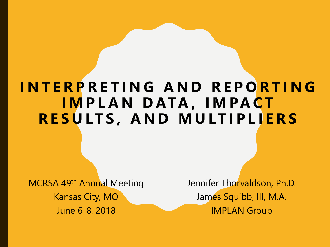#### **I N T E R P R E T I N G A N D R E P O R T I N G I M P L A N D ATA , I M PA C T R E S U LT S , A N D M U LT I P L I E R S**

MCRSA 49th Annual Meeting Kansas City, MO June 6-8, 2018

Jennifer Thorvaldson, Ph.D. James Squibb, III, M.A. IMPLAN Group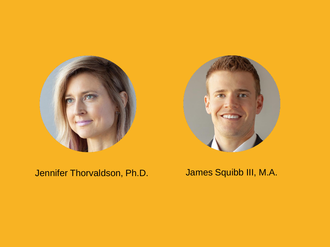



#### Jennifer Thorvaldson, Ph.D. James Squibb III, M.A.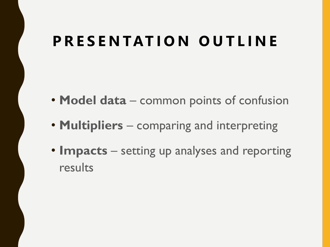#### **P R E S E N TAT I O N O U T L I N E**

- **Model data** common points of confusion
- **Multipliers** comparing and interpreting
- **Impacts** setting up analyses and reporting results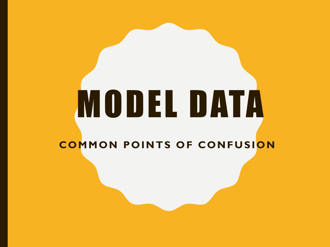# MODEL DATA

#### **COMMON POINTS OF CONFUSION**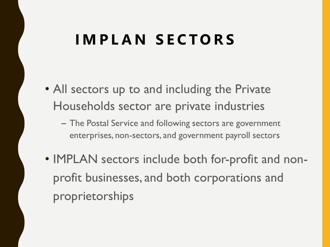#### **I M P L A N S E C T O R S**

- All sectors up to and including the Private Households sector are private industries
	- The Postal Service and following sectors are government enterprises, non-sectors, and government payroll sectors
- IMPLAN sectors include both for-profit and nonprofit businesses, and both corporations and proprietorships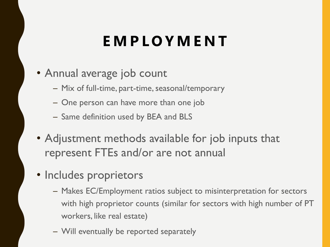#### **E M P L O Y M E N T**

- Annual average job count
	- Mix of full-time, part-time, seasonal/temporary
	- One person can have more than one job
	- Same definition used by BEA and BLS
- Adjustment methods available for job inputs that represent FTEs and/or are not annual
- Includes proprietors
	- Makes EC/Employment ratios subject to misinterpretation for sectors with high proprietor counts (similar for sectors with high number of PT workers, like real estate)
	- Will eventually be reported separately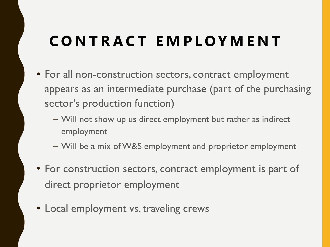#### **C O N T R A C T E M P L O Y M E N T**

- For all non-construction sectors, contract employment appears as an intermediate purchase (part of the purchasing sector's production function)
	- Will not show up us direct employment but rather as indirect employment
	- Will be a mix of W&S employment and proprietor employment
- For construction sectors, contract employment is part of direct proprietor employment
- Local employment vs. traveling crews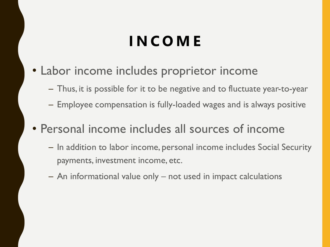#### **I N C O M E**

- Labor income includes proprietor income
	- Thus, it is possible for it to be negative and to fluctuate year-to-year
	- Employee compensation is fully-loaded wages and is always positive

#### • Personal income includes all sources of income

- In addition to labor income, personal income includes Social Security payments, investment income, etc.
- An informational value only not used in impact calculations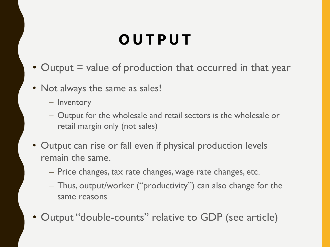#### **O U T P U T**

- Output = value of production that occurred in that year
- Not always the same as sales!
	- Inventory
	- Output for the wholesale and retail sectors is the wholesale or retail margin only (not sales)
- Output can rise or fall even if physical production levels remain the same.
	- Price changes, tax rate changes, wage rate changes, etc.
	- Thus, output/worker ("productivity") can also change for the same reasons
- Output "double-counts" relative to GDP (see article)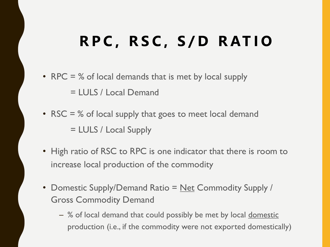#### **R P C , R S C , S / D R AT I O**

- RPC = % of local demands that is met by local supply = LULS / Local Demand
- RSC = % of local supply that goes to meet local demand = LULS / Local Supply
- High ratio of RSC to RPC is one indicator that there is room to increase local production of the commodity
- Domestic Supply/Demand Ratio = Net Commodity Supply / Gross Commodity Demand
	- % of local demand that could possibly be met by local domestic production (i.e., if the commodity were not exported domestically)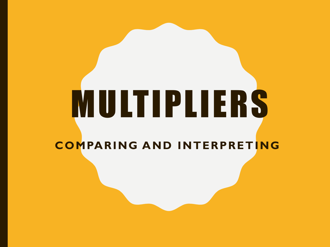## MULTIPLIERS **COMPARING AND INTERPRETING**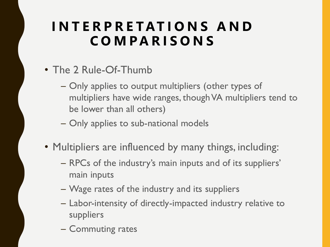#### **I N T E R P R E TAT I O N S A N D C O M P A R I S O N S**

- The 2 Rule-Of-Thumb
	- Only applies to output multipliers (other types of multipliers have wide ranges, though VA multipliers tend to be lower than all others)
	- Only applies to sub-national models
- Multipliers are influenced by many things, including:
	- RPCs of the industry's main inputs and of its suppliers' main inputs
	- Wage rates of the industry and its suppliers
	- Labor-intensity of directly-impacted industry relative to suppliers
	- Commuting rates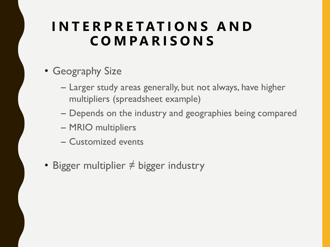#### **I N T E R P R E TAT I O N S A N D C O M P A R I S O N S**

- Geography Size
	- Larger study areas generally, but not always, have higher multipliers (spreadsheet example)
	- Depends on the industry and geographies being compared
	- MRIO multipliers
	- Customized events
- Bigger multiplier ≠ bigger industry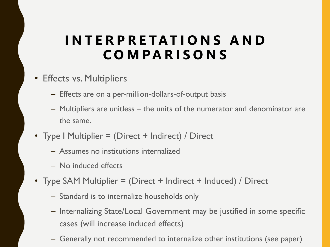#### **I N T E R P R E TAT I O N S A N D C O M P A R I S O N S**

- Effects vs. Multipliers
	- Effects are on a per-million-dollars-of-output basis
	- Multipliers are unitless the units of the numerator and denominator are the same.
- Type I Multiplier = (Direct + Indirect) / Direct
	- Assumes no institutions internalized
	- No induced effects
- Type SAM Multiplier = (Direct + Indirect + Induced) / Direct
	- Standard is to internalize households only
	- Internalizing State/Local Government may be justified in some specific cases (will increase induced effects)
	- Generally not recommended to internalize other institutions (see paper)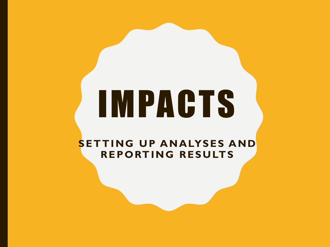## IMPACTS

**SETTING UP ANALYSES AND REPORTING RESULTS**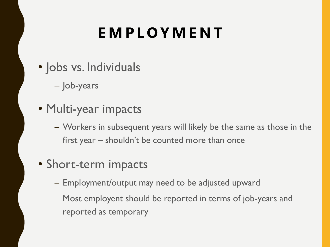#### **E M P L O Y M E N T**

- Jobs vs. Individuals
	- Job-years
- Multi-year impacts
	- Workers in subsequent years will likely be the same as those in the first year – shouldn't be counted more than once
- Short-term impacts
	- Employment/output may need to be adjusted upward
	- Most employent should be reported in terms of job-years and reported as temporary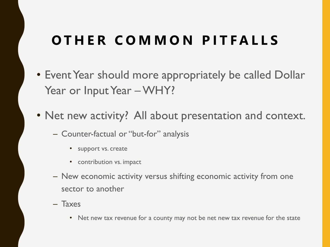#### **O T H E R C O M M O N P I T F A L L S**

- Event Year should more appropriately be called Dollar Year or Input Year – WHY?
- Net new activity? All about presentation and context.
	- Counter-factual or "but-for" analysis
		- support vs. create
		- contribution vs. impact
	- New economic activity versus shifting economic activity from one sector to another
	- Taxes
		- Net new tax revenue for a county may not be net new tax revenue for the state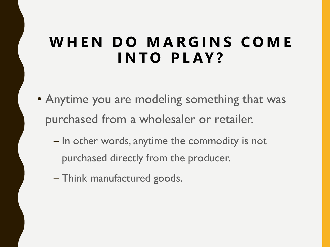#### WHEN DO MARGINS COME **I N T O P L AY ?**

- Anytime you are modeling something that was purchased from a wholesaler or retailer.
	- In other words, anytime the commodity is not purchased directly from the producer.
	- Think manufactured goods.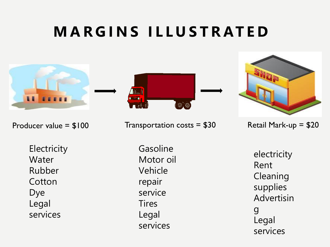#### **M A R G I N S I L L U S T R AT E D**



**Electricity** Water Rubber **Cotton** Dye Legal services

Producer value =  $$100$  Transportation costs =  $$30$  Retail Mark-up =  $$20$ 

 $\circledcirc$ 

Gasoline Motor oil Vehicle repair service **Tires** Legal services



electricity Rent Cleaning supplies Advertisin g Legal services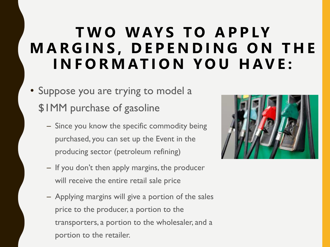#### **TWO WAYS TO APPLY M A R G I N S , D E P E N D I N G O N T H E I N F O R M AT I O N Y O U H AV E :**

- Suppose you are trying to model a \$1MM purchase of gasoline
	- Since you know the specific commodity being purchased, you can set up the Event in the producing sector (petroleum refining)
	- If you don't then apply margins, the producer will receive the entire retail sale price
	- Applying margins will give a portion of the sales price to the producer, a portion to the transporters, a portion to the wholesaler, and a portion to the retailer.

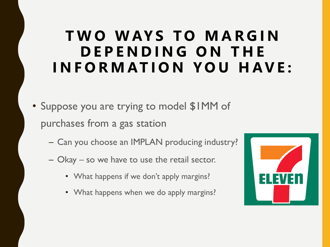#### **TWO WAYS TO MARGIN D E P E N D I N G O N T H E I N F O R M AT I O N Y O U H AV E :**

- Suppose you are trying to model \$1MM of purchases from a gas station
	- Can you choose an IMPLAN producing industry?
	- Okay so we have to use the retail sector.
		- What happens if we don't apply margins?
		- What happens when we do apply margins?

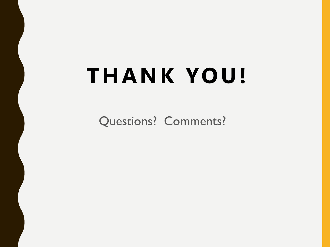### **THANK YOU!**

Questions? Comments?